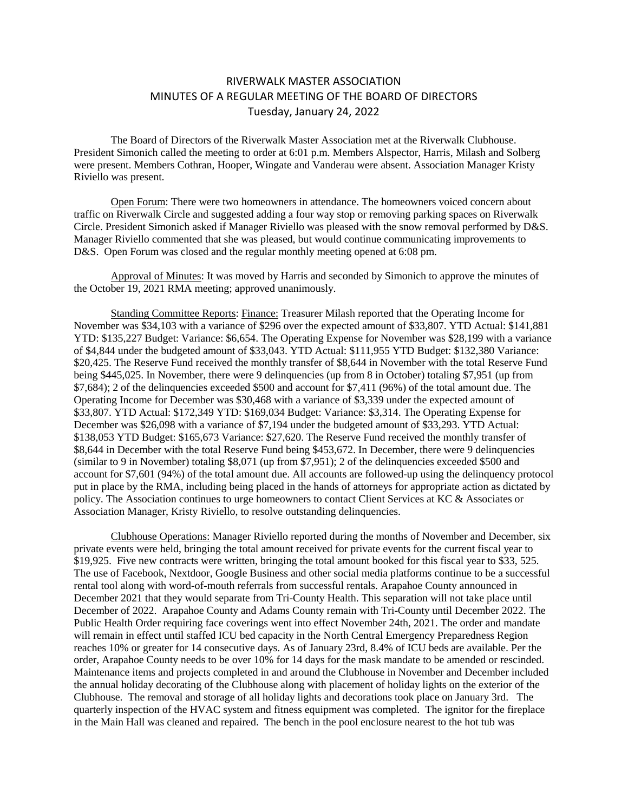## RIVERWALK MASTER ASSOCIATION MINUTES OF A REGULAR MEETING OF THE BOARD OF DIRECTORS Tuesday, January 24, 2022

The Board of Directors of the Riverwalk Master Association met at the Riverwalk Clubhouse. President Simonich called the meeting to order at 6:01 p.m. Members Alspector, Harris, Milash and Solberg were present. Members Cothran, Hooper, Wingate and Vanderau were absent. Association Manager Kristy Riviello was present.

Open Forum: There were two homeowners in attendance. The homeowners voiced concern about traffic on Riverwalk Circle and suggested adding a four way stop or removing parking spaces on Riverwalk Circle. President Simonich asked if Manager Riviello was pleased with the snow removal performed by D&S. Manager Riviello commented that she was pleased, but would continue communicating improvements to D&S. Open Forum was closed and the regular monthly meeting opened at 6:08 pm.

Approval of Minutes: It was moved by Harris and seconded by Simonich to approve the minutes of the October 19, 2021 RMA meeting; approved unanimously.

Standing Committee Reports: Finance: Treasurer Milash reported that the Operating Income for November was \$34,103 with a variance of \$296 over the expected amount of \$33,807. YTD Actual: \$141,881 YTD: \$135,227 Budget: Variance: \$6,654. The Operating Expense for November was \$28,199 with a variance of \$4,844 under the budgeted amount of \$33,043. YTD Actual: \$111,955 YTD Budget: \$132,380 Variance: \$20,425. The Reserve Fund received the monthly transfer of \$8,644 in November with the total Reserve Fund being \$445,025. In November, there were 9 delinquencies (up from 8 in October) totaling \$7,951 (up from \$7,684); 2 of the delinquencies exceeded \$500 and account for \$7,411 (96%) of the total amount due. The Operating Income for December was \$30,468 with a variance of \$3,339 under the expected amount of \$33,807. YTD Actual: \$172,349 YTD: \$169,034 Budget: Variance: \$3,314. The Operating Expense for December was \$26,098 with a variance of \$7,194 under the budgeted amount of \$33,293. YTD Actual: \$138,053 YTD Budget: \$165,673 Variance: \$27,620. The Reserve Fund received the monthly transfer of \$8,644 in December with the total Reserve Fund being \$453,672. In December, there were 9 delinquencies (similar to 9 in November) totaling \$8,071 (up from \$7,951); 2 of the delinquencies exceeded \$500 and account for \$7,601 (94%) of the total amount due. All accounts are followed-up using the delinquency protocol put in place by the RMA, including being placed in the hands of attorneys for appropriate action as dictated by policy. The Association continues to urge homeowners to contact Client Services at KC & Associates or Association Manager, Kristy Riviello, to resolve outstanding delinquencies.

Clubhouse Operations: Manager Riviello reported during the months of November and December, six private events were held, bringing the total amount received for private events for the current fiscal year to \$19,925. Five new contracts were written, bringing the total amount booked for this fiscal year to \$33, 525. The use of Facebook, Nextdoor, Google Business and other social media platforms continue to be a successful rental tool along with word-of-mouth referrals from successful rentals. Arapahoe County announced in December 2021 that they would separate from Tri-County Health. This separation will not take place until December of 2022. Arapahoe County and Adams County remain with Tri-County until December 2022. The Public Health Order requiring face coverings went into effect November 24th, 2021. The order and mandate will remain in effect until staffed ICU bed capacity in the North Central Emergency Preparedness Region reaches 10% or greater for 14 consecutive days. As of January 23rd, 8.4% of ICU beds are available. Per the order, Arapahoe County needs to be over 10% for 14 days for the mask mandate to be amended or rescinded. Maintenance items and projects completed in and around the Clubhouse in November and December included the annual holiday decorating of the Clubhouse along with placement of holiday lights on the exterior of the Clubhouse. The removal and storage of all holiday lights and decorations took place on January 3rd. The quarterly inspection of the HVAC system and fitness equipment was completed. The ignitor for the fireplace in the Main Hall was cleaned and repaired. The bench in the pool enclosure nearest to the hot tub was